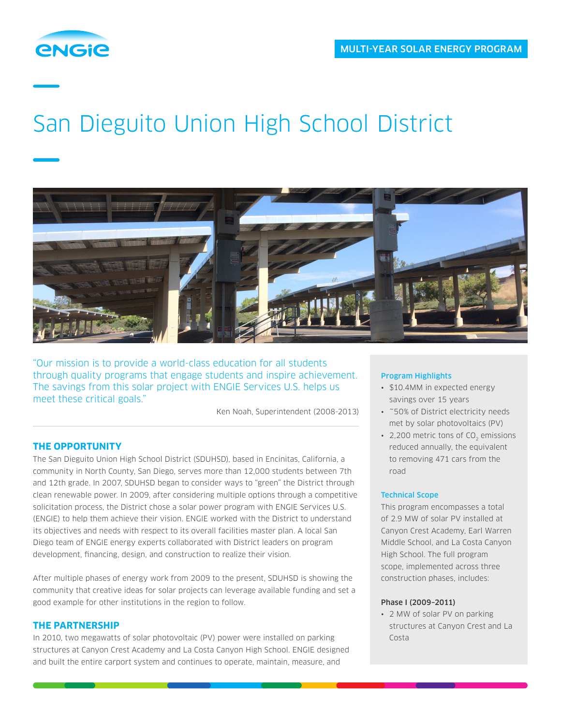

# San Dieguito Union High School District



"Our mission is to provide a world-class education for all students through quality programs that engage students and inspire achievement. The savings from this solar project with ENGIE Services U.S. helps us meet these critical goals."

Ken Noah, Superintendent (2008-2013)

# **THE OPPORTUNITY**

The San Dieguito Union High School District (SDUHSD), based in Encinitas, California, a community in North County, San Diego, serves more than 12,000 students between 7th and 12th grade. In 2007, SDUHSD began to consider ways to "green" the District through clean renewable power. In 2009, after considering multiple options through a competitive solicitation process, the District chose a solar power program with ENGIE Services U.S. (ENGIE) to help them achieve their vision. ENGIE worked with the District to understand its objectives and needs with respect to its overall facilities master plan. A local San Diego team of ENGIE energy experts collaborated with District leaders on program development, financing, design, and construction to realize their vision.

After multiple phases of energy work from 2009 to the present, SDUHSD is showing the community that creative ideas for solar projects can leverage available funding and set a good example for other institutions in the region to follow.

## **THE PARTNERSHIP**

In 2010, two megawatts of solar photovoltaic (PV) power were installed on parking structures at Canyon Crest Academy and La Costa Canyon High School. ENGIE designed and built the entire carport system and continues to operate, maintain, measure, and

### Program Highlights

- \$10.4MM in expected energy savings over 15 years
- ~50% of District electricity needs met by solar photovoltaics (PV)
- 2,200 metric tons of CO<sub>2</sub> emissions reduced annually, the equivalent to removing 471 cars from the road

### Technical Scope

This program encompasses a total of 2.9 MW of solar PV installed at Canyon Crest Academy, Earl Warren Middle School, and La Costa Canyon High School. The full program scope, implemented across three construction phases, includes:

#### Phase I (2009–2011)

• 2 MW of solar PV on parking structures at Canyon Crest and La Costa